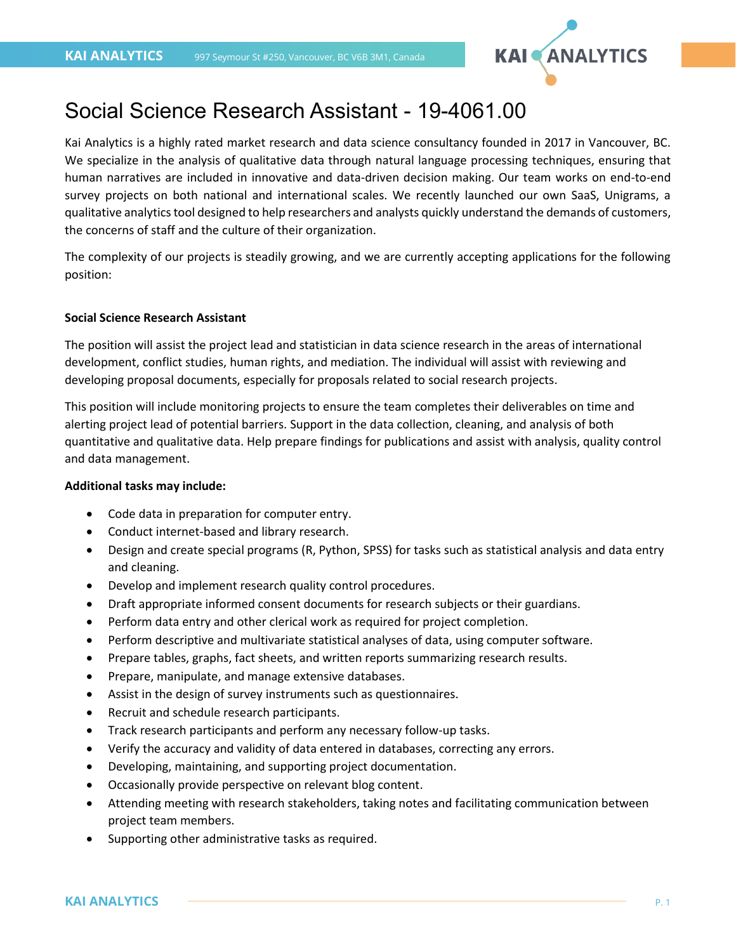

# Social Science Research Assistant - 19-4061.00

Kai Analytics is a highly rated market research and data science consultancy founded in 2017 in Vancouver, BC. We specialize in the analysis of qualitative data through natural language processing techniques, ensuring that human narratives are included in innovative and data-driven decision making. Our team works on end-to-end survey projects on both national and international scales. We recently launched our own SaaS, Unigrams, a qualitative analytics tool designed to help researchers and analysts quickly understand the demands of customers, the concerns of staff and the culture of their organization.

The complexity of our projects is steadily growing, and we are currently accepting applications for the following position:

# **Social Science Research Assistant**

The position will assist the project lead and statistician in data science research in the areas of international development, conflict studies, human rights, and mediation. The individual will assist with reviewing and developing proposal documents, especially for proposals related to social research projects.

This position will include monitoring projects to ensure the team completes their deliverables on time and alerting project lead of potential barriers. Support in the data collection, cleaning, and analysis of both quantitative and qualitative data. Help prepare findings for publications and assist with analysis, quality control and data management.

## **Additional tasks may include:**

- Code data in preparation for computer entry.
- Conduct internet-based and library research.
- Design and create special programs (R, Python, SPSS) for tasks such as statistical analysis and data entry and cleaning.
- Develop and implement research quality control procedures.
- Draft appropriate informed consent documents for research subjects or their guardians.
- Perform data entry and other clerical work as required for project completion.
- Perform descriptive and multivariate statistical analyses of data, using computer software.
- Prepare tables, graphs, fact sheets, and written reports summarizing research results.
- Prepare, manipulate, and manage extensive databases.
- Assist in the design of survey instruments such as questionnaires.
- Recruit and schedule research participants.
- Track research participants and perform any necessary follow-up tasks.
- Verify the accuracy and validity of data entered in databases, correcting any errors.
- Developing, maintaining, and supporting project documentation.
- Occasionally provide perspective on relevant blog content.
- Attending meeting with research stakeholders, taking notes and facilitating communication between project team members.
- Supporting other administrative tasks as required.